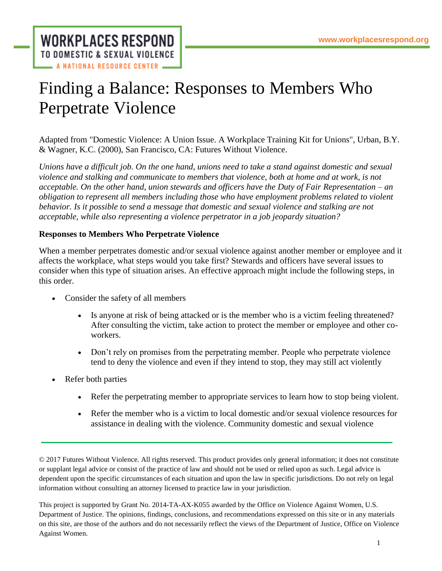**WORKPLACES RESPOND** TO DOMESTIC & SEXUAL VIOLENCE **A NATIONAL RESOURCE CENTER** 

## Finding a Balance: Responses to Members Who Perpetrate Violence

Adapted from "Domestic Violence: A Union Issue. A Workplace Training Kit for Unions", Urban, B.Y. & Wagner, K.C. (2000), San Francisco, CA: Futures Without Violence.

*Unions have a difficult job. On the one hand, unions need to take a stand against domestic and sexual violence and stalking and communicate to members that violence, both at home and at work, is not acceptable. On the other hand, union stewards and officers have the Duty of Fair Representation – an obligation to represent all members including those who have employment problems related to violent behavior. Is it possible to send a message that domestic and sexual violence and stalking are not acceptable, while also representing a violence perpetrator in a job jeopardy situation?*

## **Responses to Members Who Perpetrate Violence**

When a member perpetrates domestic and/or sexual violence against another member or employee and it affects the workplace, what steps would you take first? Stewards and officers have several issues to consider when this type of situation arises. An effective approach might include the following steps, in this order.

- Consider the safety of all members
	- Is anyone at risk of being attacked or is the member who is a victim feeling threatened? After consulting the victim, take action to protect the member or employee and other coworkers.
	- Don't rely on promises from the perpetrating member. People who perpetrate violence tend to deny the violence and even if they intend to stop, they may still act violently
- Refer both parties
	- Refer the perpetrating member to appropriate services to learn how to stop being violent.
	- Refer the member who is a victim to local domestic and/or sexual violence resources for assistance in dealing with the violence. Community domestic and sexual violence

© 2017 Futures Without Violence. All rights reserved. This product provides only general information; it does not constitute or supplant legal advice or consist of the practice of law and should not be used or relied upon as such. Legal advice is dependent upon the specific circumstances of each situation and upon the law in specific jurisdictions. Do not rely on legal information without consulting an attorney licensed to practice law in your jurisdiction.

This project is supported by Grant No. 2014-TA-AX-K055 awarded by the Office on Violence Against Women, U.S. Department of Justice. The opinions, findings, conclusions, and recommendations expressed on this site or in any materials on this site, are those of the authors and do not necessarily reflect the views of the Department of Justice, Office on Violence Against Women.